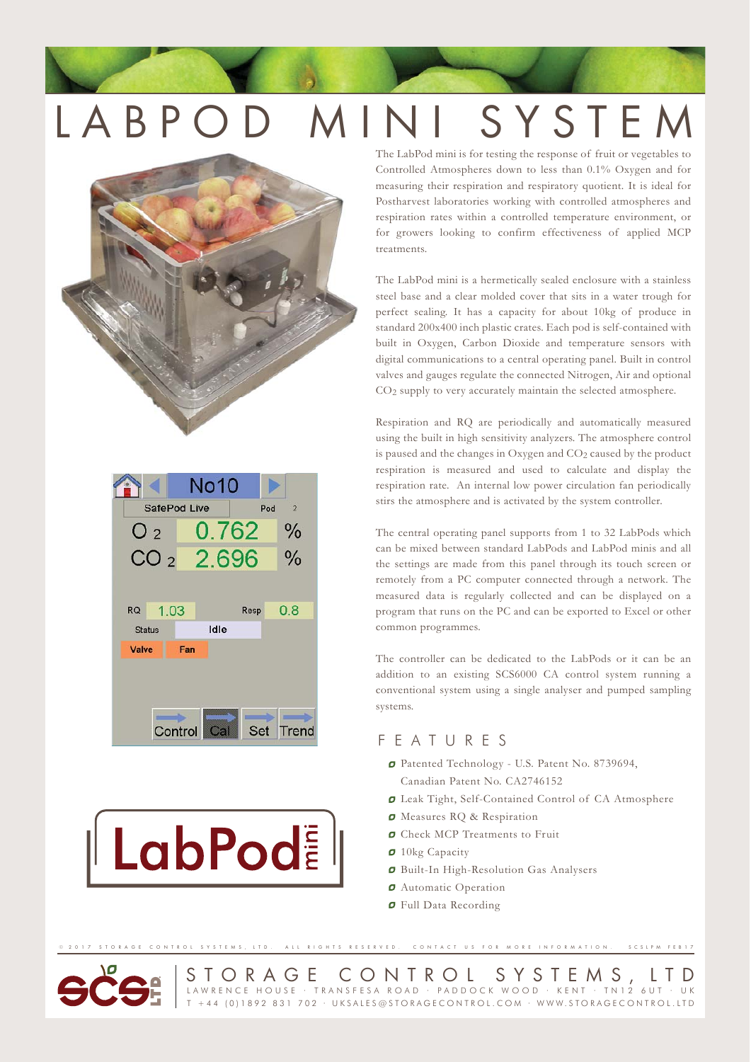# LABPOD MINI SYSTEM





**LabPod** 

The LabPod mini is for testing the response of fruit or vegetables to Controlled Atmospheres down to less than 0.1% Oxygen and for measuring their respiration and respiratory quotient. It is ideal for Postharvest laboratories working with controlled atmospheres and respiration rates within a controlled temperature environment, or for growers looking to confirm effectiveness of applied MCP treatments.

The LabPod mini is a hermetically sealed enclosure with a stainless steel base and a clear molded cover that sits in a water trough for perfect sealing. It has a capacity for about 10kg of produce in standard 200x400 inch plastic crates. Each pod is self-contained with built in Oxygen, Carbon Dioxide and temperature sensors with digital communications to a central operating panel. Built in control valves and gauges regulate the connected Nitrogen, Air and optional CO2 supply to very accurately maintain the selected atmosphere.

Respiration and RQ are periodically and automatically measured using the built in high sensitivity analyzers. The atmosphere control is paused and the changes in Oxygen and  $CO<sub>2</sub>$  caused by the product respiration is measured and used to calculate and display the respiration rate. An internal low power circulation fan periodically stirs the atmosphere and is activated by the system controller.

The central operating panel supports from 1 to 32 LabPods which can be mixed between standard LabPods and LabPod minis and all the settings are made from this panel through its touch screen or remotely from a PC computer connected through a network. The measured data is regularly collected and can be displayed on a program that runs on the PC and can be exported to Excel or other common programmes.

The controller can be dedicated to the LabPods or it can be an addition to an existing SCS6000 CA control system running a conventional system using a single analyser and pumped sampling systems.

## FEATURES

- Patented Technology U.S. Patent No. 8739694, Canadian Patent No. CA2746152
- Leak Tight, Self-Contained Control of CA Atmosphere
- **O** Measures RQ & Respiration
- **O** Check MCP Treatments to Fruit
- **0** 10kg Capacity

STORAGE CONTROL SYSTEMS, LTD. ALL RIGHTS RESERVED. CONTACT US FOR MORE INFORMATION.

- Built-In High-Resolution Gas Analysers
- *O* Automatic Operation
- Full Data Recording



STORAGE CONTROL SYSTEMS, LTD<br>LAWRENCE HOUSE · TRANSFESA ROAD · PADDOCK WOOD · KENT · TN12 6UT · UK T +44 (0)1892 831 702 · UKSALES@STORAGECONTROL.COM · WWW.STORAGECONTROL.LTD